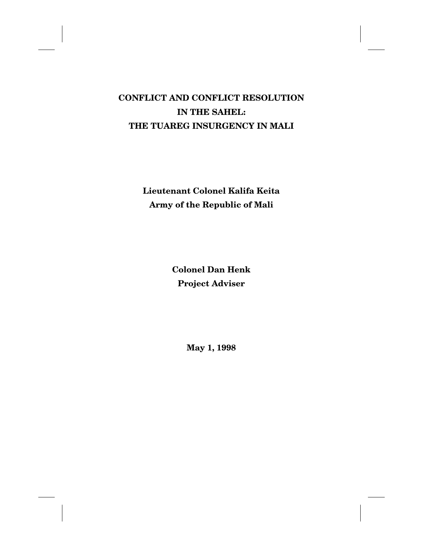# **CONFLICT AND CONFLICT RESOLUTION IN THE SAHEL: THE TUAREG INSURGENCY IN MALI**

**Lieutenant Colonel Kalifa Keita Army of the Republic of Mali**

> **Colonel Dan Henk Project Adviser**

> > **May 1, 1998**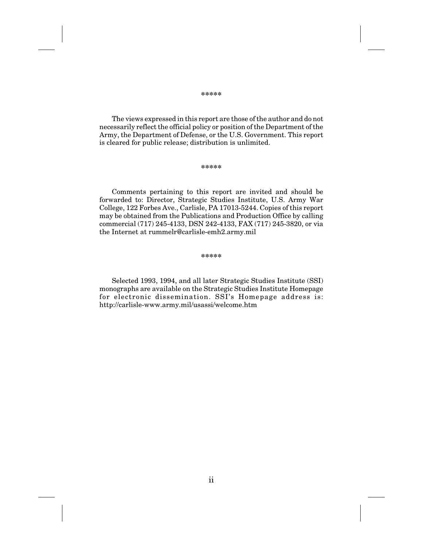The views expressed in this report are those of the author and do not necessarily reflect the official policy or position of the Department of the Army, the Department of Defense, or the U.S. Government. This report is cleared for public release; distribution is unlimited.

#### **\*\*\*\*\***

Comments pertaining to this report are invited and should be forwarded to: Director, Strategic Studies Institute, U.S. Army War College, 122 Forbes Ave., Carlisle, PA 17013-5244. Copies of this report may be obtained from the Publications and Production Office by calling commercial (717) 245-4133, DSN 242-4133, FAX (717) 245-3820, or via the Internet at rummelr@carlisle-emh2.army.mil

#### **\*\*\*\*\***

Selected 1993, 1994, and all later Strategic Studies Institute (SSI) monographs are available on the Strategic Studies Institute Homepage for electronic dissemination. SSI's Homepage address is: http://carlisle-www.army.mil/usassi/welcome.htm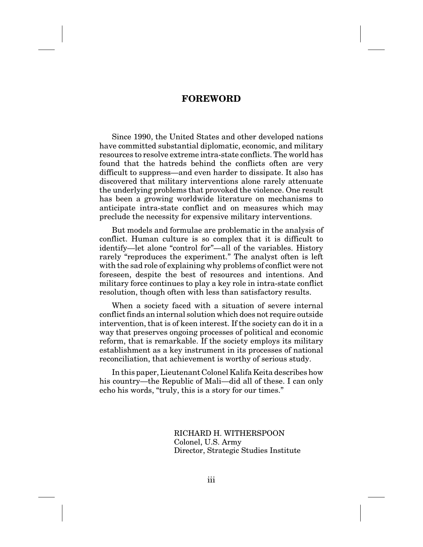### **FOREWORD**

Since 1990, the United States and other developed nations have committed substantial diplomatic, economic, and military resources to resolve extreme intra-state conflicts. The world has found that the hatreds behind the conflicts often are very difficult to suppress—and even harder to dissipate. It also has discovered that military interventions alone rarely attenuate the underlying problems that provoked the violence. One result has been a growing worldwide literature on mechanisms to anticipate intra-state conflict and on measures which may preclude the necessity for expensive military interventions.

But models and formulae are problematic in the analysis of conflict. Human culture is so complex that it is difficult to identify—let alone "control for"—all of the variables. History rarely "reproduces the experiment." The analyst often is left with the sad role of explaining why problems of conflict were not foreseen, despite the best of resources and intentions. And military force continues to play a key role in intra-state conflict resolution, though often with less than satisfactory results.

When a society faced with a situation of severe internal conflict finds an internal solution which does not require outside intervention, that is of keen interest. If the society can do it in a way that preserves ongoing processes of political and economic reform, that is remarkable. If the society employs its military establishment as a key instrument in its processes of national reconciliation, that achievement is worthy of serious study.

In this paper, Lieutenant Colonel Kalifa Keita describes how his country—the Republic of Mali—did all of these. I can only echo his words, "truly, this is a story for our times."

> RICHARD H. WITHERSPOON Colonel, U.S. Army Director, Strategic Studies Institute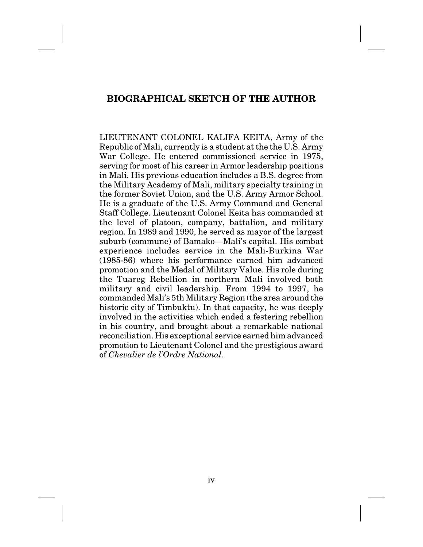# **BIOGRAPHICAL SKETCH OF THE AUTHOR**

LIEUTENANT COLONEL KALIFA KEITA, Army of the Republic of Mali, currently is a student at the the U.S. Army War College. He entered commissioned service in 1975, serving for most of his career in Armor leadership positions in Mali. His previous education includes a B.S. degree from the Military Academy of Mali, military specialty training in the former Soviet Union, and the U.S. Army Armor School. He is a graduate of the U.S. Army Command and General Staff College. Lieutenant Colonel Keita has commanded at the level of platoon, company, battalion, and military region. In 1989 and 1990, he served as mayor of the largest suburb (commune) of Bamako—Mali's capital. His combat experience includes service in the Mali-Burkina War (1985-86) where his performance earned him advanced promotion and the Medal of Military Value. His role during the Tuareg Rebellion in northern Mali involved both military and civil leadership. From 1994 to 1997, he commanded Mali's 5th Military Region (the area around the historic city of Timbuktu). In that capacity, he was deeply involved in the activities which ended a festering rebellion in his country, and brought about a remarkable national reconciliation. His exceptional service earned him advanced promotion to Lieutenant Colonel and the prestigious award of *Chevalier de l'Ordre National*.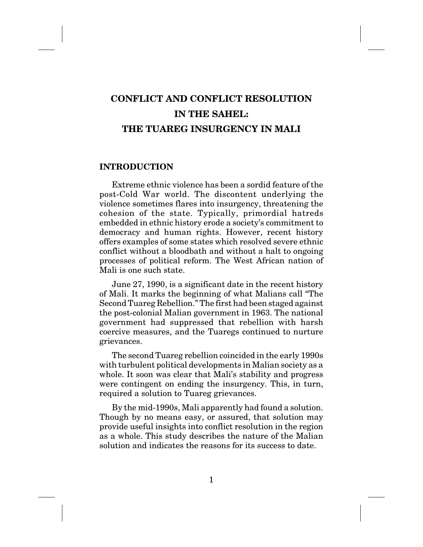# **CONFLICT AND CONFLICT RESOLUTION IN THE SAHEL: THE TUAREG INSURGENCY IN MALI**

### **INTRODUCTION**

Extreme ethnic violence has been a sordid feature of the post-Cold War world. The discontent underlying the violence sometimes flares into insurgency, threatening the cohesion of the state. Typically, primordial hatreds embedded in ethnic history erode a society's commitment to democracy and human rights. However, recent history offers examples of some states which resolved severe ethnic conflict without a bloodbath and without a halt to ongoing processes of political reform. The West African nation of Mali is one such state.

June 27, 1990, is a significant date in the recent history of Mali. It marks the beginning of what Malians call "The Second Tuareg Rebellion." The first had been staged against the post-colonial Malian government in 1963. The national government had suppressed that rebellion with harsh coercive measures, and the Tuaregs continued to nurture grievances.

The second Tuareg rebellion coincided in the early 1990s with turbulent political developments in Malian society as a whole. It soon was clear that Mali's stability and progress were contingent on ending the insurgency. This, in turn, required a solution to Tuareg grievances.

By the mid-1990s, Mali apparently had found a solution. Though by no means easy, or assured, that solution may provide useful insights into conflict resolution in the region as a whole. This study describes the nature of the Malian solution and indicates the reasons for its success to date.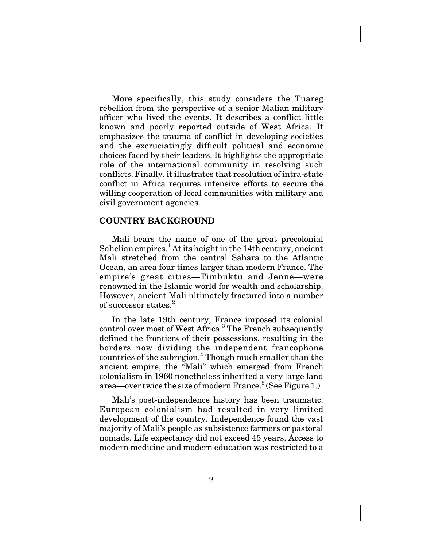More specifically, this study considers the Tuareg rebellion from the perspective of a senior Malian military officer who lived the events. It describes a conflict little known and poorly reported outside of West Africa. It emphasizes the trauma of conflict in developing societies and the excruciatingly difficult political and economic choices faced by their leaders. It highlights the appropriate role of the international community in resolving such conflicts. Finally, it illustrates that resolution of intra-state conflict in Africa requires intensive efforts to secure the willing cooperation of local communities with military and civil government agencies.

### **COUNTRY BACKGROUND**

Mali bears the name of one of the great precolonial Sahelian empires.<sup>1</sup> At its height in the 14th century, ancient Mali stretched from the central Sahara to the Atlantic Ocean, an area four times larger than modern France. The empire's great cities—Timbuktu and Jenne—were renowned in the Islamic world for wealth and scholarship. However, ancient Mali ultimately fractured into a number of successor states.<sup>2</sup>

In the late 19th century, France imposed its colonial control over most of West Africa.<sup>3</sup> The French subsequently defined the frontiers of their possessions, resulting in the borders now dividing the independent francophone countries of the subregion.<sup>4</sup> Though much smaller than the ancient empire, the "Mali" which emerged from French colonialism in 1960 nonetheless inherited a very large land area—over twice the size of modern  $\text{France.}^5$  (See Figure 1.)

Mali's post-independence history has been traumatic. European colonialism had resulted in very limited development of the country. Independence found the vast majority of Mali's people as subsistence farmers or pastoral nomads. Life expectancy did not exceed 45 years. Access to modern medicine and modern education was restricted to a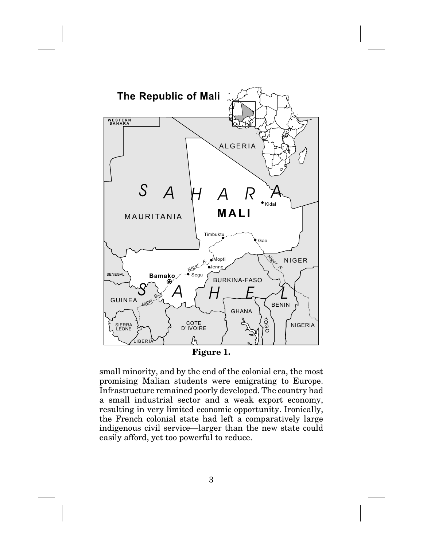

**Figure 1.**

small minority, and by the end of the colonial era, the most promising Malian students were emigrating to Europe. Infrastructure remained poorly developed. The country had a small industrial sector and a weak export economy, resulting in very limited economic opportunity. Ironically, the French colonial state had left a comparatively large indigenous civil service—larger than the new state could easily afford, yet too powerful to reduce.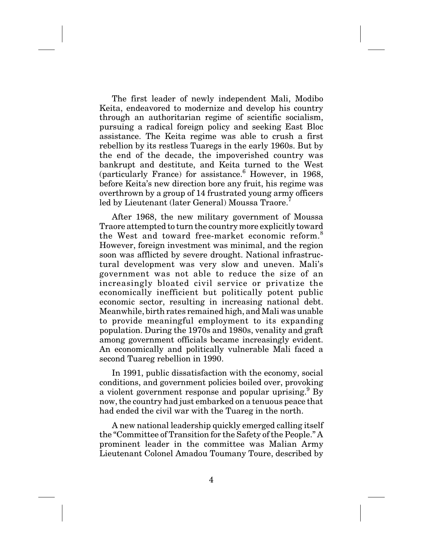The first leader of newly independent Mali, Modibo Keita, endeavored to modernize and develop his country through an authoritarian regime of scientific socialism, pursuing a radical foreign policy and seeking East Bloc assistance. The Keita regime was able to crush a first rebellion by its restless Tuaregs in the early 1960s. But by the end of the decade, the impoverished country was bankrupt and destitute, and Keita turned to the West (particularly France) for assistance.<sup>6</sup> However, in 1968, before Keita's new direction bore any fruit, his regime was overthrown by a group of 14 frustrated young army officers led by Lieutenant (later General) Moussa Traore.

After 1968, the new military government of Moussa Traore attempted to turn the country more explicitly toward the West and toward free-market economic reform.<sup>8</sup> However, foreign investment was minimal, and the region soon was afflicted by severe drought. National infrastructural development was very slow and uneven. Mali's government was not able to reduce the size of an increasingly bloated civil service or privatize the economically inefficient but politically potent public economic sector, resulting in increasing national debt. Meanwhile, birth rates remained high, and Mali was unable to provide meaningful employment to its expanding population. During the 1970s and 1980s, venality and graft among government officials became increasingly evident. An economically and politically vulnerable Mali faced a second Tuareg rebellion in 1990.

In 1991, public dissatisfaction with the economy, social conditions, and government policies boiled over, provoking a violent government response and popular uprising.  $9\,\mathrm{By}$ now, the country had just embarked on a tenuous peace that had ended the civil war with the Tuareg in the north.

A new national leadership quickly emerged calling itself the "Committee of Transition for the Safety of the People." A prominent leader in the committee was Malian Army Lieutenant Colonel Amadou Toumany Toure, described by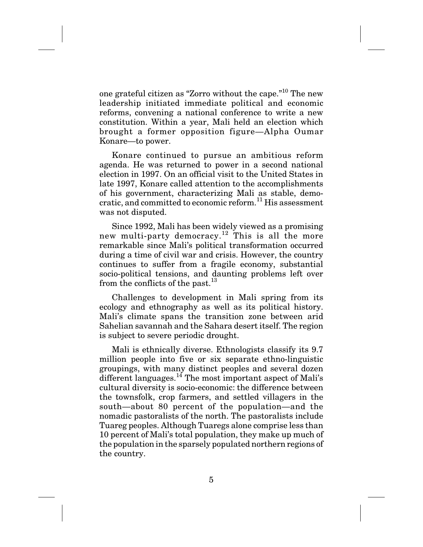one grateful citizen as "Zorro without the cape."10 The new leadership initiated immediate political and economic reforms, convening a national conference to write a new constitution. Within a year, Mali held an election which brought a former opposition figure—Alpha Oumar Konare—to power.

Konare continued to pursue an ambitious reform agenda. He was returned to power in a second national election in 1997. On an official visit to the United States in late 1997, Konare called attention to the accomplishments of his government, characterizing Mali as stable, democratic, and committed to economic reform.<sup>11</sup> His assessment was not disputed.

Since 1992, Mali has been widely viewed as a promising new multi-party democracy.<sup>12</sup> This is all the more remarkable since Mali's political transformation occurred during a time of civil war and crisis. However, the country continues to suffer from a fragile economy, substantial socio-political tensions, and daunting problems left over from the conflicts of the past.<sup>13</sup>

Challenges to development in Mali spring from its ecology and ethnography as well as its political history. Mali's climate spans the transition zone between arid Sahelian savannah and the Sahara desert itself. The region is subject to severe periodic drought.

Mali is ethnically diverse. Ethnologists classify its 9.7 million people into five or six separate ethno-linguistic groupings, with many distinct peoples and several dozen different languages.<sup>14</sup> The most important aspect of Mali's cultural diversity is socio-economic: the difference between the townsfolk, crop farmers, and settled villagers in the south—about 80 percent of the population—and the nomadic pastoralists of the north. The pastoralists include Tuareg peoples. Although Tuaregs alone comprise less than 10 percent of Mali's total population, they make up much of the population in the sparsely populated northern regions of the country.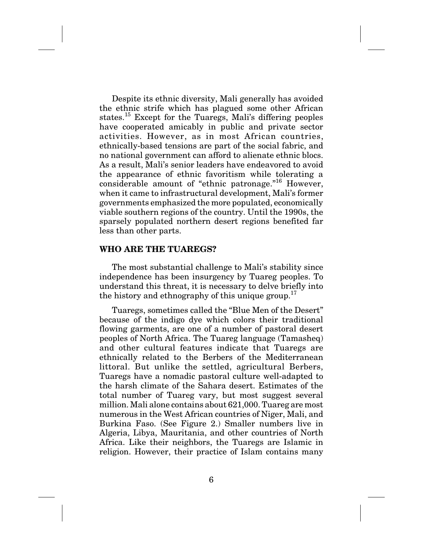Despite its ethnic diversity, Mali generally has avoided the ethnic strife which has plagued some other African states.<sup>15</sup> Except for the Tuaregs, Mali's differing peoples have cooperated amicably in public and private sector activities. However, as in most African countries, ethnically-based tensions are part of the social fabric, and no national government can afford to alienate ethnic blocs. As a result, Mali's senior leaders have endeavored to avoid the appearance of ethnic favoritism while tolerating a considerable amount of "ethnic patronage."16 However, when it came to infrastructural development, Mali's former governments emphasized the more populated, economically viable southern regions of the country. Until the 1990s, the sparsely populated northern desert regions benefited far less than other parts.

### **WHO ARE THE TUAREGS?**

The most substantial challenge to Mali's stability since independence has been insurgency by Tuareg peoples. To understand this threat, it is necessary to delve briefly into the history and ethnography of this unique group.<sup>17</sup>

Tuaregs, sometimes called the "Blue Men of the Desert" because of the indigo dye which colors their traditional flowing garments, are one of a number of pastoral desert peoples of North Africa. The Tuareg language (Tamasheq) and other cultural features indicate that Tuaregs are ethnically related to the Berbers of the Mediterranean littoral. But unlike the settled, agricultural Berbers, Tuaregs have a nomadic pastoral culture well-adapted to the harsh climate of the Sahara desert. Estimates of the total number of Tuareg vary, but most suggest several million. Mali alone contains about 621,000. Tuareg are most numerous in the West African countries of Niger, Mali, and Burkina Faso. (See Figure 2.) Smaller numbers live in Algeria, Libya, Mauritania, and other countries of North Africa. Like their neighbors, the Tuaregs are Islamic in religion. However, their practice of Islam contains many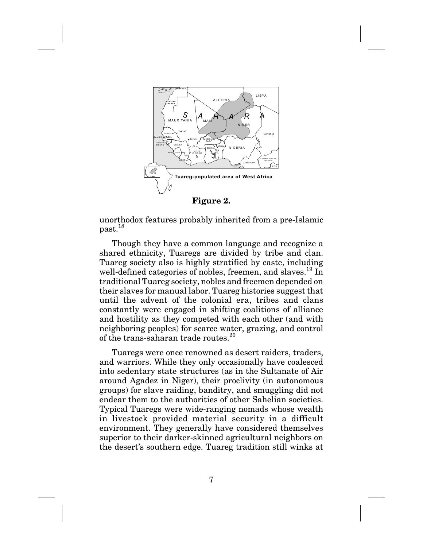

unorthodox features probably inherited from a pre-Islamic past.18

Though they have a common language and recognize a shared ethnicity, Tuaregs are divided by tribe and clan. Tuareg society also is highly stratified by caste, including well-defined categories of nobles, freemen, and slaves.<sup>19</sup> In traditional Tuareg society, nobles and freemen depended on their slaves for manual labor. Tuareg histories suggest that until the advent of the colonial era, tribes and clans constantly were engaged in shifting coalitions of alliance and hostility as they competed with each other (and with neighboring peoples) for scarce water, grazing, and control of the trans-saharan trade routes.<sup>20</sup>

Tuaregs were once renowned as desert raiders, traders, and warriors. While they only occasionally have coalesced into sedentary state structures (as in the Sultanate of Air around Agadez in Niger), their proclivity (in autonomous groups) for slave raiding, banditry, and smuggling did not endear them to the authorities of other Sahelian societies. Typical Tuaregs were wide-ranging nomads whose wealth in livestock provided material security in a difficult environment. They generally have considered themselves superior to their darker-skinned agricultural neighbors on the desert's southern edge. Tuareg tradition still winks at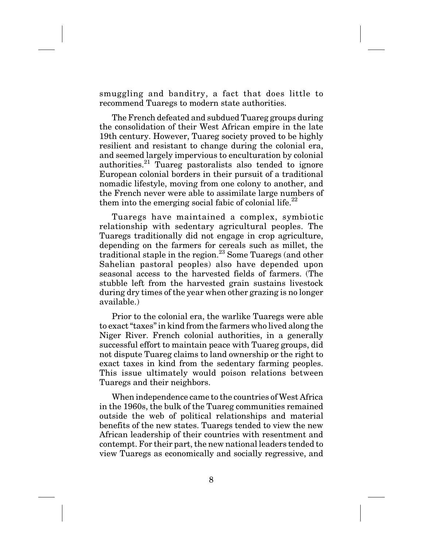smuggling and banditry, a fact that does little to recommend Tuaregs to modern state authorities.

The French defeated and subdued Tuareg groups during the consolidation of their West African empire in the late 19th century. However, Tuareg society proved to be highly resilient and resistant to change during the colonial era, and seemed largely impervious to enculturation by colonial authorities.<sup>21</sup> Tuareg pastoralists also tended to ignore European colonial borders in their pursuit of a traditional nomadic lifestyle, moving from one colony to another, and the French never were able to assimilate large numbers of them into the emerging social fabic of colonial life.<sup>22</sup>

Tuaregs have maintained a complex, symbiotic relationship with sedentary agricultural peoples. The Tuaregs traditionally did not engage in crop agriculture, depending on the farmers for cereals such as millet, the traditional staple in the region.<sup>23</sup> Some Tuaregs (and other Sahelian pastoral peoples) also have depended upon seasonal access to the harvested fields of farmers. (The stubble left from the harvested grain sustains livestock during dry times of the year when other grazing is no longer available.)

Prior to the colonial era, the warlike Tuaregs were able to exact "taxes" in kind from the farmers who lived along the Niger River. French colonial authorities, in a generally successful effort to maintain peace with Tuareg groups, did not dispute Tuareg claims to land ownership or the right to exact taxes in kind from the sedentary farming peoples. This issue ultimately would poison relations between Tuaregs and their neighbors.

When independence came to the countries of West Africa in the 1960s, the bulk of the Tuareg communities remained outside the web of political relationships and material benefits of the new states. Tuaregs tended to view the new African leadership of their countries with resentment and contempt. For their part, the new national leaders tended to view Tuaregs as economically and socially regressive, and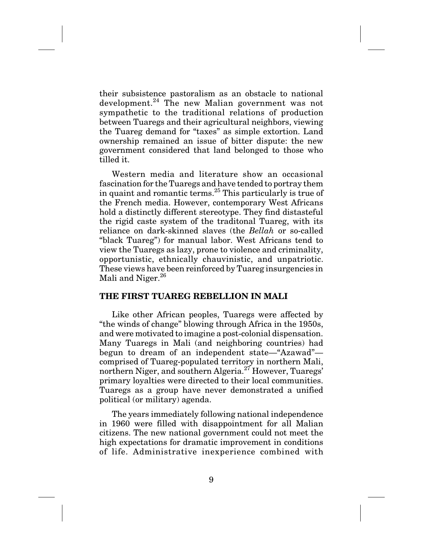their subsistence pastoralism as an obstacle to national development.<sup>24</sup> The new Malian government was not sympathetic to the traditional relations of production between Tuaregs and their agricultural neighbors, viewing the Tuareg demand for "taxes" as simple extortion. Land ownership remained an issue of bitter dispute: the new government considered that land belonged to those who tilled it.

Western media and literature show an occasional fascination for the Tuaregs and have tended to portray them in quaint and romantic terms.<sup>25</sup> This particularly is true of the French media. However, contemporary West Africans hold a distinctly different stereotype. They find distasteful the rigid caste system of the traditonal Tuareg, with its reliance on dark-skinned slaves (the *Bellah* or so-called "black Tuareg") for manual labor. West Africans tend to view the Tuaregs as lazy, prone to violence and criminality, opportunistic, ethnically chauvinistic, and unpatriotic. These views have been reinforced by Tuareg insurgencies in Mali and Niger.<sup>26</sup>

### **THE FIRST TUAREG REBELLION IN MALI**

Like other African peoples, Tuaregs were affected by "the winds of change" blowing through Africa in the 1950s, and were motivated to imagine a post-colonial dispensation. Many Tuaregs in Mali (and neighboring countries) had begun to dream of an independent state—"Azawad" comprised of Tuareg-populated territory in northern Mali, northern Niger, and southern Algeria.<sup>27</sup> However, Tuaregs' primary loyalties were directed to their local communities. Tuaregs as a group have never demonstrated a unified political (or military) agenda.

The years immediately following national independence in 1960 were filled with disappointment for all Malian citizens. The new national government could not meet the high expectations for dramatic improvement in conditions of life. Administrative inexperience combined with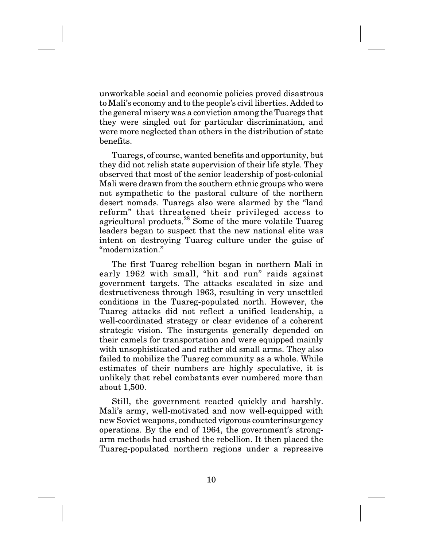unworkable social and economic policies proved disastrous to Mali's economy and to the people's civil liberties. Added to the general misery was a conviction among the Tuaregs that they were singled out for particular discrimination, and were more neglected than others in the distribution of state benefits.

Tuaregs, of course, wanted benefits and opportunity, but they did not relish state supervision of their life style. They observed that most of the senior leadership of post-colonial Mali were drawn from the southern ethnic groups who were not sympathetic to the pastoral culture of the northern desert nomads. Tuaregs also were alarmed by the "land reform" that threatened their privileged access to agricultural products.<sup>28</sup> Some of the more volatile Tuareg leaders began to suspect that the new national elite was intent on destroying Tuareg culture under the guise of "modernization."

The first Tuareg rebellion began in northern Mali in early 1962 with small, "hit and run" raids against government targets. The attacks escalated in size and destructiveness through 1963, resulting in very unsettled conditions in the Tuareg-populated north. However, the Tuareg attacks did not reflect a unified leadership, a well-coordinated strategy or clear evidence of a coherent strategic vision. The insurgents generally depended on their camels for transportation and were equipped mainly with unsophisticated and rather old small arms. They also failed to mobilize the Tuareg community as a whole. While estimates of their numbers are highly speculative, it is unlikely that rebel combatants ever numbered more than about 1,500.

Still, the government reacted quickly and harshly. Mali's army, well-motivated and now well-equipped with new Soviet weapons, conducted vigorous counterinsurgency operations. By the end of 1964, the government's strongarm methods had crushed the rebellion. It then placed the Tuareg-populated northern regions under a repressive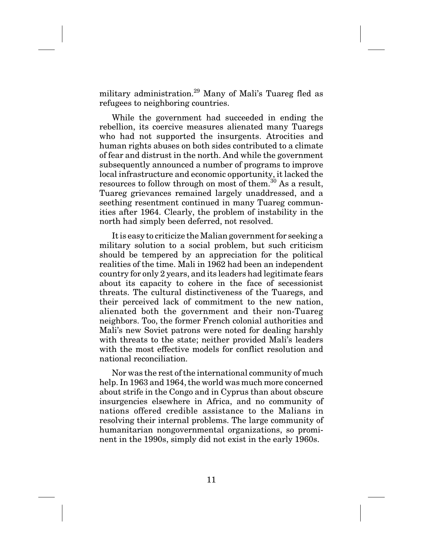military administration.<sup>29</sup> Many of Mali's Tuareg fled as refugees to neighboring countries.

While the government had succeeded in ending the rebellion, its coercive measures alienated many Tuaregs who had not supported the insurgents. Atrocities and human rights abuses on both sides contributed to a climate of fear and distrust in the north. And while the government subsequently announced a number of programs to improve local infrastructure and economic opportunity, it lacked the resources to follow through on most of them.<sup>30</sup> As a result, Tuareg grievances remained largely unaddressed, and a seething resentment continued in many Tuareg communities after 1964. Clearly, the problem of instability in the north had simply been deferred, not resolved.

It is easy to criticize the Malian government for seeking a military solution to a social problem, but such criticism should be tempered by an appreciation for the political realities of the time. Mali in 1962 had been an independent country for only 2 years, and its leaders had legitimate fears about its capacity to cohere in the face of secessionist threats. The cultural distinctiveness of the Tuaregs, and their perceived lack of commitment to the new nation, alienated both the government and their non-Tuareg neighbors. Too, the former French colonial authorities and Mali's new Soviet patrons were noted for dealing harshly with threats to the state; neither provided Mali's leaders with the most effective models for conflict resolution and national reconciliation.

Nor was the rest of the international community of much help. In 1963 and 1964, the world was much more concerned about strife in the Congo and in Cyprus than about obscure insurgencies elsewhere in Africa, and no community of nations offered credible assistance to the Malians in resolving their internal problems. The large community of humanitarian nongovernmental organizations, so prominent in the 1990s, simply did not exist in the early 1960s.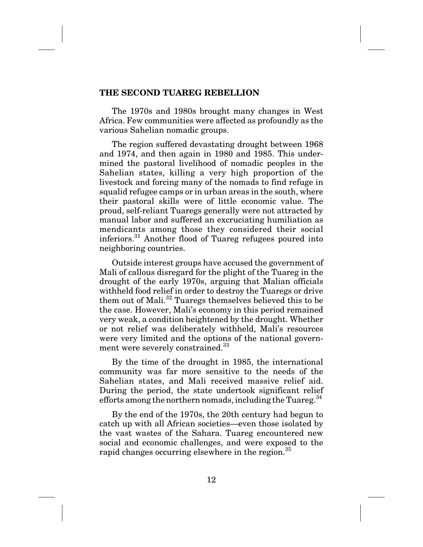### **THE SECOND TUAREG REBELLION**

The 1970s and 1980s brought many changes in West Africa. Few communities were affected as profoundly as the various Sahelian nomadic groups.

The region suffered devastating drought between 1968 and 1974, and then again in 1980 and 1985. This undermined the pastoral livelihood of nomadic peoples in the Sahelian states, killing a very high proportion of the livestock and forcing many of the nomads to find refuge in squalid refugee camps or in urban areas in the south, where their pastoral skills were of little economic value. The proud, self-reliant Tuaregs generally were not attracted by manual labor and suffered an excruciating humiliation as mendicants among those they considered their social inferiors.31 Another flood of Tuareg refugees poured into neighboring countries.

Outside interest groups have accused the government of Mali of callous disregard for the plight of the Tuareg in the drought of the early 1970s, arguing that Malian officials withheld food relief in order to destroy the Tuaregs or drive them out of Mali.<sup>32</sup> Tuaregs themselves believed this to be the case. However, Mali's economy in this period remained very weak, a condition heightened by the drought. Whether or not relief was deliberately withheld, Mali's resources were very limited and the options of the national government were severely constrained.<sup>33</sup>

By the time of the drought in 1985, the international community was far more sensitive to the needs of the Sahelian states, and Mali received massive relief aid. During the period, the state undertook significant relief efforts among the northern nomads, including the Tuareg. $34$ 

By the end of the 1970s, the 20th century had begun to catch up with all African societies—even those isolated by the vast wastes of the Sahara. Tuareg encountered new social and economic challenges, and were exposed to the rapid changes occurring elsewhere in the region.<sup>35</sup>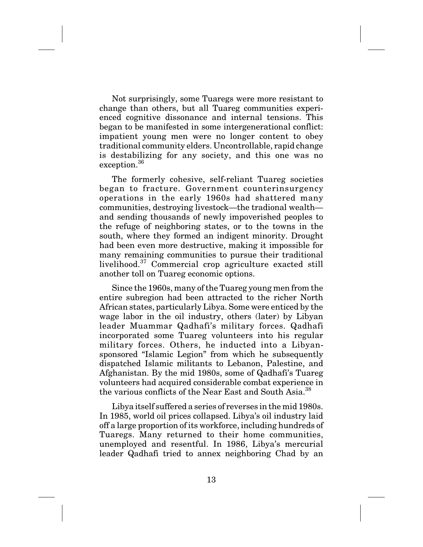Not surprisingly, some Tuaregs were more resistant to change than others, but all Tuareg communities experienced cognitive dissonance and internal tensions. This began to be manifested in some intergenerational conflict: impatient young men were no longer content to obey traditional community elders. Uncontrollable, rapid change is destabilizing for any society, and this one was no exception.<sup>36</sup>

The formerly cohesive, self-reliant Tuareg societies began to fracture. Government counterinsurgency operations in the early 1960s had shattered many communities, destroying livestock—the tradional wealth and sending thousands of newly impoverished peoples to the refuge of neighboring states, or to the towns in the south, where they formed an indigent minority. Drought had been even more destructive, making it impossible for many remaining communities to pursue their traditional livelihood.<sup>37</sup> Commercial crop agriculture exacted still another toll on Tuareg economic options.

Since the 1960s, many of the Tuareg young men from the entire subregion had been attracted to the richer North African states, particularly Libya. Some were enticed by the wage labor in the oil industry, others (later) by Libyan leader Muammar Qadhafi's military forces. Qadhafi incorporated some Tuareg volunteers into his regular military forces. Others, he inducted into a Libyansponsored "Islamic Legion" from which he subsequently dispatched Islamic militants to Lebanon, Palestine, and Afghanistan. By the mid 1980s, some of Qadhafi's Tuareg volunteers had acquired considerable combat experience in the various conflicts of the Near East and South Asia.<sup>38</sup>

Libya itself suffered a series of reverses in the mid 1980s. In 1985, world oil prices collapsed. Libya's oil industry laid off a large proportion of its workforce, including hundreds of Tuaregs. Many returned to their home communities, unemployed and resentful. In 1986, Libya's mercurial leader Qadhafi tried to annex neighboring Chad by an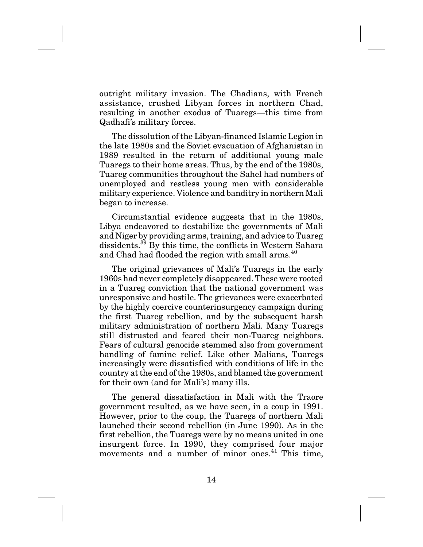outright military invasion. The Chadians, with French assistance, crushed Libyan forces in northern Chad, resulting in another exodus of Tuaregs—this time from Qadhafi's military forces.

The dissolution of the Libyan-financed Islamic Legion in the late 1980s and the Soviet evacuation of Afghanistan in 1989 resulted in the return of additional young male Tuaregs to their home areas. Thus, by the end of the 1980s, Tuareg communities throughout the Sahel had numbers of unemployed and restless young men with considerable military experience. Violence and banditry in northern Mali began to increase.

Circumstantial evidence suggests that in the 1980s, Libya endeavored to destabilize the governments of Mali and Niger by providing arms, training, and advice to Tuareg dissidents.<sup>39</sup> By this time, the conflicts in Western Sahara and Chad had flooded the region with small arms.<sup>40</sup>

The original grievances of Mali's Tuaregs in the early 1960s had never completely disappeared. These were rooted in a Tuareg conviction that the national government was unresponsive and hostile. The grievances were exacerbated by the highly coercive counterinsurgency campaign during the first Tuareg rebellion, and by the subsequent harsh military administration of northern Mali. Many Tuaregs still distrusted and feared their non-Tuareg neighbors. Fears of cultural genocide stemmed also from government handling of famine relief. Like other Malians, Tuaregs increasingly were dissatisfied with conditions of life in the country at the end of the 1980s, and blamed the government for their own (and for Mali's) many ills.

The general dissatisfaction in Mali with the Traore government resulted, as we have seen, in a coup in 1991. However, prior to the coup, the Tuaregs of northern Mali launched their second rebellion (in June 1990). As in the first rebellion, the Tuaregs were by no means united in one insurgent force. In 1990, they comprised four major movements and a number of minor ones.<sup>41</sup> This time,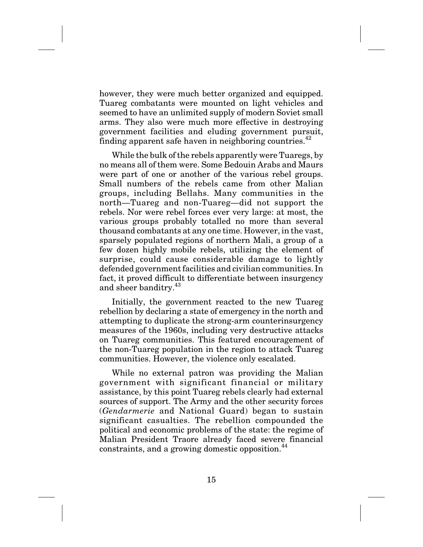however, they were much better organized and equipped. Tuareg combatants were mounted on light vehicles and seemed to have an unlimited supply of modern Soviet small arms. They also were much more effective in destroying government facilities and eluding government pursuit, finding apparent safe haven in neighboring countries. $42$ 

While the bulk of the rebels apparently were Tuaregs, by no means all of them were. Some Bedouin Arabs and Maurs were part of one or another of the various rebel groups. Small numbers of the rebels came from other Malian groups, including Bellahs. Many communities in the north—Tuareg and non-Tuareg—did not support the rebels. Nor were rebel forces ever very large: at most, the various groups probably totalled no more than several thousand combatants at any one time. However, in the vast, sparsely populated regions of northern Mali, a group of a few dozen highly mobile rebels, utilizing the element of surprise, could cause considerable damage to lightly defended government facilities and civilian communities. In fact, it proved difficult to differentiate between insurgency and sheer banditry.<sup>43</sup>

Initially, the government reacted to the new Tuareg rebellion by declaring a state of emergency in the north and attempting to duplicate the strong-arm counterinsurgency measures of the 1960s, including very destructive attacks on Tuareg communities. This featured encouragement of the non-Tuareg population in the region to attack Tuareg communities. However, the violence only escalated.

While no external patron was providing the Malian government with significant financial or military assistance, by this point Tuareg rebels clearly had external sources of support. The Army and the other security forces (*Gendarmerie* and National Guard) began to sustain significant casualties. The rebellion compounded the political and economic problems of the state: the regime of Malian President Traore already faced severe financial constraints, and a growing domestic opposition.<sup>44</sup>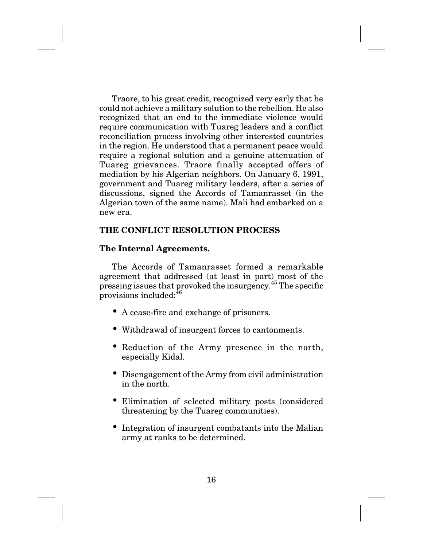Traore, to his great credit, recognized very early that he could not achieve a military solution to the rebellion. He also recognized that an end to the immediate violence would require communication with Tuareg leaders and a conflict reconciliation process involving other interested countries in the region. He understood that a permanent peace would require a regional solution and a genuine attenuation of Tuareg grievances. Traore finally accepted offers of mediation by his Algerian neighbors. On January 6, 1991, government and Tuareg military leaders, after a series of discussions, signed the Accords of Tamanrasset (in the Algerian town of the same name). Mali had embarked on a new era.

# **THE CONFLICT RESOLUTION PROCESS**

# **The Internal Agreements.**

The Accords of Tamanrasset formed a remarkable agreement that addressed (at least in part) most of the pressing issues that provoked the insurgency.<sup>45</sup> The specific provisions included: $^{46}$ 

- A cease-fire and exchange of prisoners.
- Withdrawal of insurgent forces to cantonments.
- Reduction of the Army presence in the north, especially Kidal.
- Disengagement of the Army from civil administration in the north.
- Elimination of selected military posts (considered threatening by the Tuareg communities).
- Integration of insurgent combatants into the Malian army at ranks to be determined.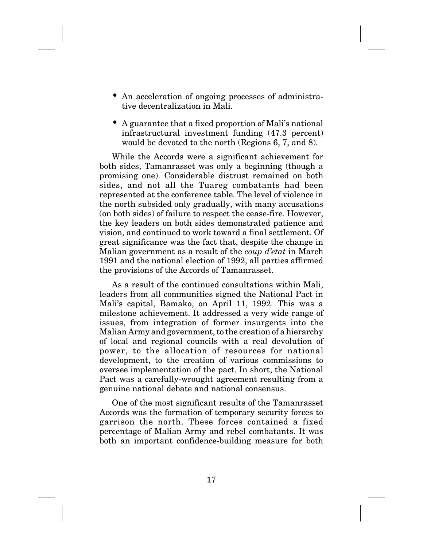- An acceleration of ongoing processes of administrative decentralization in Mali.
- A guarantee that a fixed proportion of Mali's national infrastructural investment funding (47.3 percent) would be devoted to the north (Regions 6, 7, and 8).

While the Accords were a significant achievement for both sides, Tamanrasset was only a beginning (though a promising one). Considerable distrust remained on both sides, and not all the Tuareg combatants had been represented at the conference table. The level of violence in the north subsided only gradually, with many accusations (on both sides) of failure to respect the cease-fire. However, the key leaders on both sides demonstrated patience and vision, and continued to work toward a final settlement. Of great significance was the fact that, despite the change in Malian government as a result of the *coup d'etat* in March 1991 and the national election of 1992, all parties affirmed the provisions of the Accords of Tamanrasset.

As a result of the continued consultations within Mali, leaders from all communities signed the National Pact in Mali's capital, Bamako, on April 11, 1992. This was a milestone achievement. It addressed a very wide range of issues, from integration of former insurgents into the Malian Army and government, to the creation of a hierarchy of local and regional councils with a real devolution of power, to the allocation of resources for national development, to the creation of various commissions to oversee implementation of the pact. In short, the National Pact was a carefully-wrought agreement resulting from a genuine national debate and national consensus.

One of the most significant results of the Tamanrasset Accords was the formation of temporary security forces to garrison the north. These forces contained a fixed percentage of Malian Army and rebel combatants. It was both an important confidence-building measure for both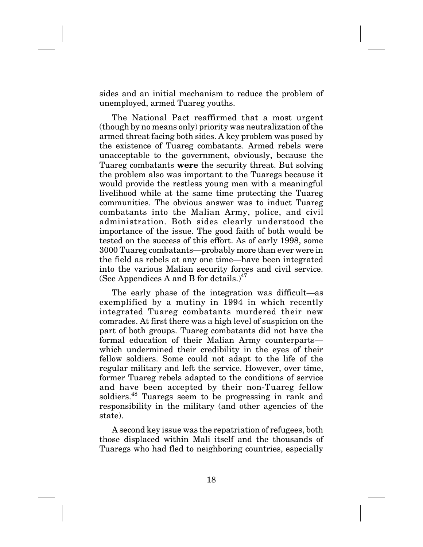sides and an initial mechanism to reduce the problem of unemployed, armed Tuareg youths.

The National Pact reaffirmed that a most urgent (though by no means only) priority was neutralization of the armed threat facing both sides. A key problem was posed by the existence of Tuareg combatants. Armed rebels were unacceptable to the government, obviously, because the Tuareg combatants **were** the security threat. But solving the problem also was important to the Tuaregs because it would provide the restless young men with a meaningful livelihood while at the same time protecting the Tuareg communities. The obvious answer was to induct Tuareg combatants into the Malian Army, police, and civil administration. Both sides clearly understood the importance of the issue. The good faith of both would be tested on the success of this effort. As of early 1998, some 3000 Tuareg combatants—probably more than ever were in the field as rebels at any one time—have been integrated into the various Malian security forces and civil service. (See Appendices A and B for details.) $47$ 

The early phase of the integration was difficult—as exemplified by a mutiny in 1994 in which recently integrated Tuareg combatants murdered their new comrades. At first there was a high level of suspicion on the part of both groups. Tuareg combatants did not have the formal education of their Malian Army counterparts which undermined their credibility in the eyes of their fellow soldiers. Some could not adapt to the life of the regular military and left the service. However, over time, former Tuareg rebels adapted to the conditions of service and have been accepted by their non-Tuareg fellow soldiers.<sup>48</sup> Tuaregs seem to be progressing in rank and responsibility in the military (and other agencies of the state).

A second key issue was the repatriation of refugees, both those displaced within Mali itself and the thousands of Tuaregs who had fled to neighboring countries, especially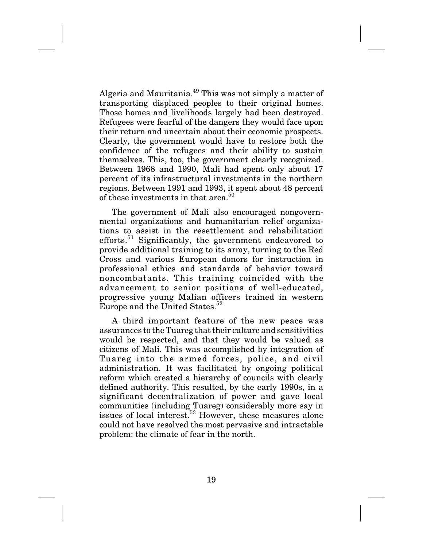Algeria and Mauritania.<sup>49</sup> This was not simply a matter of transporting displaced peoples to their original homes. Those homes and livelihoods largely had been destroyed. Refugees were fearful of the dangers they would face upon their return and uncertain about their economic prospects. Clearly, the government would have to restore both the confidence of the refugees and their ability to sustain themselves. This, too, the government clearly recognized. Between 1968 and 1990, Mali had spent only about 17 percent of its infrastructural investments in the northern regions. Between 1991 and 1993, it spent about 48 percent of these investments in that area.<sup>50</sup>

The government of Mali also encouraged nongovernmental organizations and humanitarian relief organizations to assist in the resettlement and rehabilitation efforts.<sup>51</sup> Significantly, the government endeavored to provide additional training to its army, turning to the Red Cross and various European donors for instruction in professional ethics and standards of behavior toward noncombatants. This training coincided with the advancement to senior positions of well-educated, progressive young Malian officers trained in western Europe and the United States.<sup>52</sup>

A third important feature of the new peace was assurances to the Tuareg that their culture and sensitivities would be respected, and that they would be valued as citizens of Mali. This was accomplished by integration of Tuareg into the armed forces, police, and civil administration. It was facilitated by ongoing political reform which created a hierarchy of councils with clearly defined authority. This resulted, by the early 1990s, in a significant decentralization of power and gave local communities (including Tuareg) considerably more say in issues of local interest.<sup>53</sup> However, these measures alone could not have resolved the most pervasive and intractable problem: the climate of fear in the north.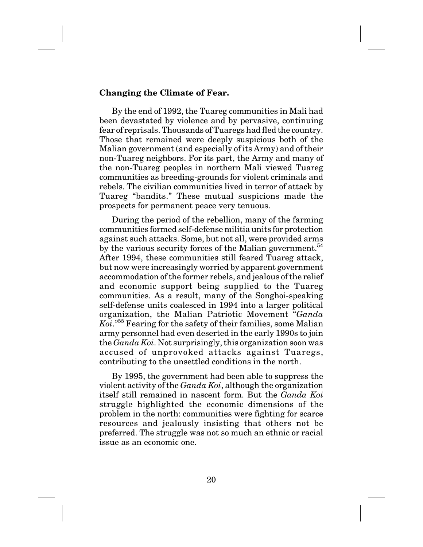### **Changing the Climate of Fear.**

By the end of 1992, the Tuareg communities in Mali had been devastated by violence and by pervasive, continuing fear of reprisals. Thousands of Tuaregs had fled the country. Those that remained were deeply suspicious both of the Malian government (and especially of its Army) and of their non-Tuareg neighbors. For its part, the Army and many of the non-Tuareg peoples in northern Mali viewed Tuareg communities as breeding-grounds for violent criminals and rebels. The civilian communities lived in terror of attack by Tuareg "bandits." These mutual suspicions made the prospects for permanent peace very tenuous.

During the period of the rebellion, many of the farming communities formed self-defense militia units for protection against such attacks. Some, but not all, were provided arms by the various security forces of the Malian government.<sup>54</sup> After 1994, these communities still feared Tuareg attack, but now were increasingly worried by apparent government accommodation of the former rebels, and jealous of the relief and economic support being supplied to the Tuareg communities. As a result, many of the Songhoi-speaking self-defense units coalesced in 1994 into a larger political organization, the Malian Patriotic Movement "*Ganda Koi*."55 Fearing for the safety of their families, some Malian army personnel had even deserted in the early 1990s to join the *Ganda Koi*. Not surprisingly, this organization soon was accused of unprovoked attacks against Tuaregs, contributing to the unsettled conditions in the north.

By 1995, the government had been able to suppress the violent activity of the *Ganda Koi*, although the organization itself still remained in nascent form. But the *Ganda Koi* struggle highlighted the economic dimensions of the problem in the north: communities were fighting for scarce resources and jealously insisting that others not be preferred. The struggle was not so much an ethnic or racial issue as an economic one.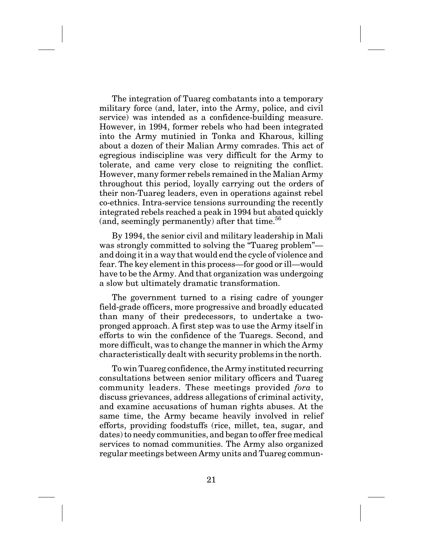The integration of Tuareg combatants into a temporary military force (and, later, into the Army, police, and civil service) was intended as a confidence-building measure. However, in 1994, former rebels who had been integrated into the Army mutinied in Tonka and Kharous, killing about a dozen of their Malian Army comrades. This act of egregious indiscipline was very difficult for the Army to tolerate, and came very close to reigniting the conflict. However, many former rebels remained in the Malian Army throughout this period, loyally carrying out the orders of their non-Tuareg leaders, even in operations against rebel co-ethnics. Intra-service tensions surrounding the recently integrated rebels reached a peak in 1994 but abated quickly (and, seemingly permanently) after that time. $56$ 

By 1994, the senior civil and military leadership in Mali was strongly committed to solving the "Tuareg problem" and doing it in a way that would end the cycle of violence and fear. The key element in this process—for good or ill—would have to be the Army. And that organization was undergoing a slow but ultimately dramatic transformation.

The government turned to a rising cadre of younger field-grade officers, more progressive and broadly educated than many of their predecessors, to undertake a twopronged approach. A first step was to use the Army itself in efforts to win the confidence of the Tuaregs. Second, and more difficult, was to change the manner in which the Army characteristically dealt with security problems in the north.

To win Tuareg confidence, the Army instituted recurring consultations between senior military officers and Tuareg community leaders. These meetings provided *fora* to discuss grievances, address allegations of criminal activity, and examine accusations of human rights abuses. At the same time, the Army became heavily involved in relief efforts, providing foodstuffs (rice, millet, tea, sugar, and dates) to needy communities, and began to offer free medical services to nomad communities. The Army also organized regular meetings between Army units and Tuareg commun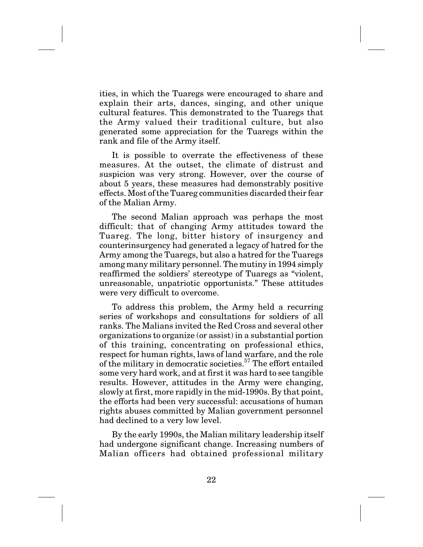ities, in which the Tuaregs were encouraged to share and explain their arts, dances, singing, and other unique cultural features. This demonstrated to the Tuaregs that the Army valued their traditional culture, but also generated some appreciation for the Tuaregs within the rank and file of the Army itself.

It is possible to overrate the effectiveness of these measures. At the outset, the climate of distrust and suspicion was very strong. However, over the course of about 5 years, these measures had demonstrably positive effects. Most of the Tuareg communities discarded their fear of the Malian Army.

The second Malian approach was perhaps the most difficult: that of changing Army attitudes toward the Tuareg. The long, bitter history of insurgency and counterinsurgency had generated a legacy of hatred for the Army among the Tuaregs, but also a hatred for the Tuaregs among many military personnel. The mutiny in 1994 simply reaffirmed the soldiers' stereotype of Tuaregs as "violent, unreasonable, unpatriotic opportunists." These attitudes were very difficult to overcome.

To address this problem, the Army held a recurring series of workshops and consultations for soldiers of all ranks. The Malians invited the Red Cross and several other organizations to organize (or assist) in a substantial portion of this training, concentrating on professional ethics, respect for human rights, laws of land warfare, and the role of the military in democratic societies.<sup>57</sup> The effort entailed some very hard work, and at first it was hard to see tangible results. However, attitudes in the Army were changing, slowly at first, more rapidly in the mid-1990s. By that point, the efforts had been very successful: accusations of human rights abuses committed by Malian government personnel had declined to a very low level.

By the early 1990s, the Malian military leadership itself had undergone significant change. Increasing numbers of Malian officers had obtained professional military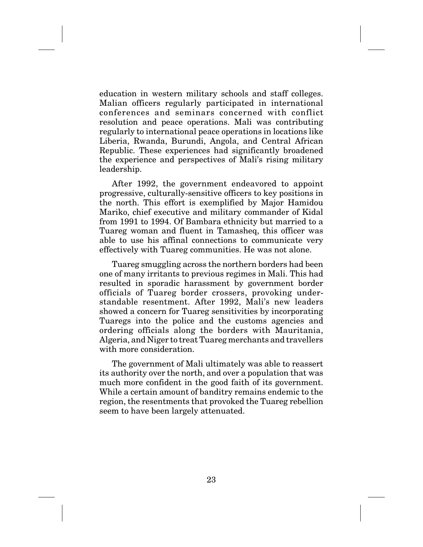education in western military schools and staff colleges. Malian officers regularly participated in international conferences and seminars concerned with conflict resolution and peace operations. Mali was contributing regularly to international peace operations in locations like Liberia, Rwanda, Burundi, Angola, and Central African Republic. These experiences had significantly broadened the experience and perspectives of Mali's rising military leadership.

After 1992, the government endeavored to appoint progressive, culturally-sensitive officers to key positions in the north. This effort is exemplified by Major Hamidou Mariko, chief executive and military commander of Kidal from 1991 to 1994. Of Bambara ethnicity but married to a Tuareg woman and fluent in Tamasheq, this officer was able to use his affinal connections to communicate very effectively with Tuareg communities. He was not alone.

Tuareg smuggling across the northern borders had been one of many irritants to previous regimes in Mali. This had resulted in sporadic harassment by government border officials of Tuareg border crossers, provoking understandable resentment. After 1992, Mali's new leaders showed a concern for Tuareg sensitivities by incorporating Tuaregs into the police and the customs agencies and ordering officials along the borders with Mauritania, Algeria, and Niger to treat Tuareg merchants and travellers with more consideration.

The government of Mali ultimately was able to reassert its authority over the north, and over a population that was much more confident in the good faith of its government. While a certain amount of banditry remains endemic to the region, the resentments that provoked the Tuareg rebellion seem to have been largely attenuated.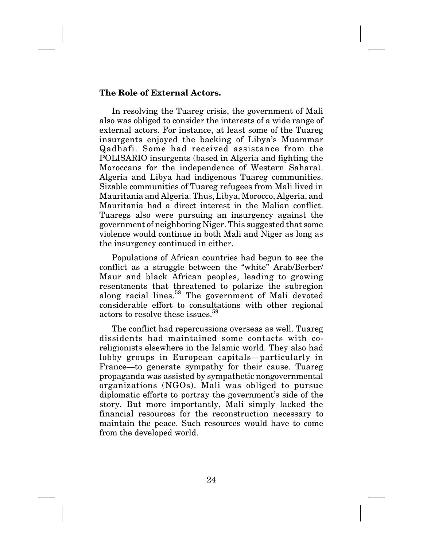### **The Role of External Actors.**

In resolving the Tuareg crisis, the government of Mali also was obliged to consider the interests of a wide range of external actors. For instance, at least some of the Tuareg insurgents enjoyed the backing of Libya's Muammar Qadhafi. Some had received assistance from the POLISARIO insurgents (based in Algeria and fighting the Moroccans for the independence of Western Sahara). Algeria and Libya had indigenous Tuareg communities. Sizable communities of Tuareg refugees from Mali lived in Mauritania and Algeria. Thus, Libya, Morocco, Algeria, and Mauritania had a direct interest in the Malian conflict. Tuaregs also were pursuing an insurgency against the government of neighboring Niger. This suggested that some violence would continue in both Mali and Niger as long as the insurgency continued in either.

Populations of African countries had begun to see the conflict as a struggle between the "white" Arab/Berber/ Maur and black African peoples, leading to growing resentments that threatened to polarize the subregion along racial lines.<sup>58</sup> The government of Mali devoted considerable effort to consultations with other regional actors to resolve these issues.59

The conflict had repercussions overseas as well. Tuareg dissidents had maintained some contacts with coreligionists elsewhere in the Islamic world. They also had lobby groups in European capitals—particularly in France—to generate sympathy for their cause. Tuareg propaganda was assisted by sympathetic nongovernmental organizations (NGOs). Mali was obliged to pursue diplomatic efforts to portray the government's side of the story. But more importantly, Mali simply lacked the financial resources for the reconstruction necessary to maintain the peace. Such resources would have to come from the developed world.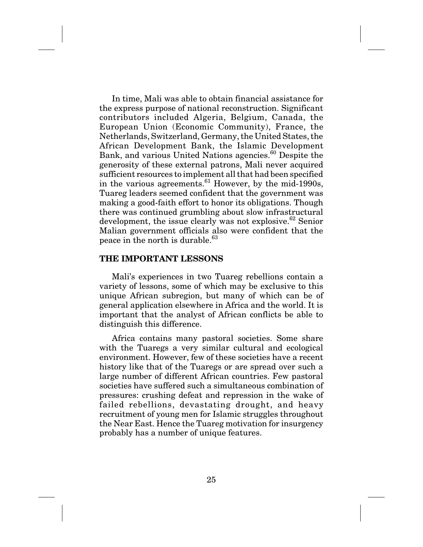In time, Mali was able to obtain financial assistance for the express purpose of national reconstruction. Significant contributors included Algeria, Belgium, Canada, the European Union (Economic Community), France, the Netherlands, Switzerland, Germany, the United States, the African Development Bank, the Islamic Development Bank, and various United Nations agencies.<sup>60</sup> Despite the generosity of these external patrons, Mali never acquired sufficient resources to implement all that had been specified in the various agreements. $61$  However, by the mid-1990s, Tuareg leaders seemed confident that the government was making a good-faith effort to honor its obligations. Though there was continued grumbling about slow infrastructural development, the issue clearly was not explosive.  $62$  Senior Malian government officials also were confident that the peace in the north is durable.<sup>63</sup>

### **THE IMPORTANT LESSONS**

Mali's experiences in two Tuareg rebellions contain a variety of lessons, some of which may be exclusive to this unique African subregion, but many of which can be of general application elsewhere in Africa and the world. It is important that the analyst of African conflicts be able to distinguish this difference.

Africa contains many pastoral societies. Some share with the Tuaregs a very similar cultural and ecological environment. However, few of these societies have a recent history like that of the Tuaregs or are spread over such a large number of different African countries. Few pastoral societies have suffered such a simultaneous combination of pressures: crushing defeat and repression in the wake of failed rebellions, devastating drought, and heavy recruitment of young men for Islamic struggles throughout the Near East. Hence the Tuareg motivation for insurgency probably has a number of unique features.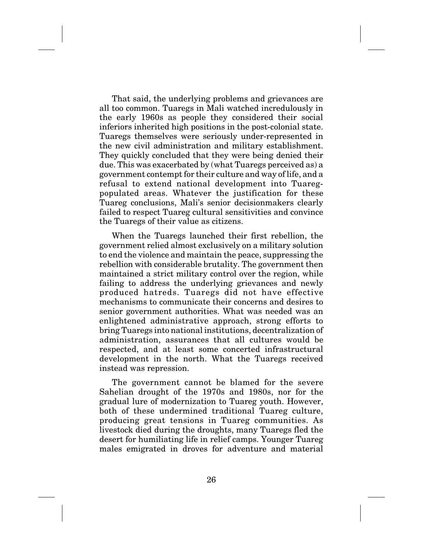That said, the underlying problems and grievances are all too common. Tuaregs in Mali watched incredulously in the early 1960s as people they considered their social inferiors inherited high positions in the post-colonial state. Tuaregs themselves were seriously under-represented in the new civil administration and military establishment. They quickly concluded that they were being denied their due. This was exacerbated by (what Tuaregs perceived as) a government contempt for their culture and way of life, and a refusal to extend national development into Tuaregpopulated areas. Whatever the justification for these Tuareg conclusions, Mali's senior decisionmakers clearly failed to respect Tuareg cultural sensitivities and convince the Tuaregs of their value as citizens.

When the Tuaregs launched their first rebellion, the government relied almost exclusively on a military solution to end the violence and maintain the peace, suppressing the rebellion with considerable brutality. The government then maintained a strict military control over the region, while failing to address the underlying grievances and newly produced hatreds. Tuaregs did not have effective mechanisms to communicate their concerns and desires to senior government authorities. What was needed was an enlightened administrative approach, strong efforts to bring Tuaregs into national institutions, decentralization of administration, assurances that all cultures would be respected, and at least some concerted infrastructural development in the north. What the Tuaregs received instead was repression.

The government cannot be blamed for the severe Sahelian drought of the 1970s and 1980s, nor for the gradual lure of modernization to Tuareg youth. However, both of these undermined traditional Tuareg culture, producing great tensions in Tuareg communities. As livestock died during the droughts, many Tuaregs fled the desert for humiliating life in relief camps. Younger Tuareg males emigrated in droves for adventure and material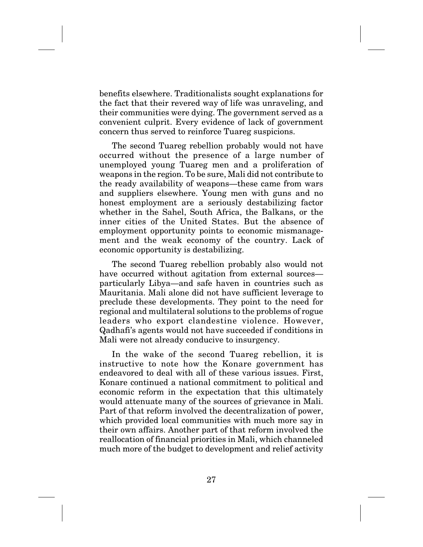benefits elsewhere. Traditionalists sought explanations for the fact that their revered way of life was unraveling, and their communities were dying. The government served as a convenient culprit. Every evidence of lack of government concern thus served to reinforce Tuareg suspicions.

The second Tuareg rebellion probably would not have occurred without the presence of a large number of unemployed young Tuareg men and a proliferation of weapons in the region. To be sure, Mali did not contribute to the ready availability of weapons—these came from wars and suppliers elsewhere. Young men with guns and no honest employment are a seriously destabilizing factor whether in the Sahel, South Africa, the Balkans, or the inner cities of the United States. But the absence of employment opportunity points to economic mismanagement and the weak economy of the country. Lack of economic opportunity is destabilizing.

The second Tuareg rebellion probably also would not have occurred without agitation from external sources particularly Libya—and safe haven in countries such as Mauritania. Mali alone did not have sufficient leverage to preclude these developments. They point to the need for regional and multilateral solutions to the problems of rogue leaders who export clandestine violence. However, Qadhafi's agents would not have succeeded if conditions in Mali were not already conducive to insurgency.

In the wake of the second Tuareg rebellion, it is instructive to note how the Konare government has endeavored to deal with all of these various issues. First, Konare continued a national commitment to political and economic reform in the expectation that this ultimately would attenuate many of the sources of grievance in Mali. Part of that reform involved the decentralization of power, which provided local communities with much more say in their own affairs. Another part of that reform involved the reallocation of financial priorities in Mali, which channeled much more of the budget to development and relief activity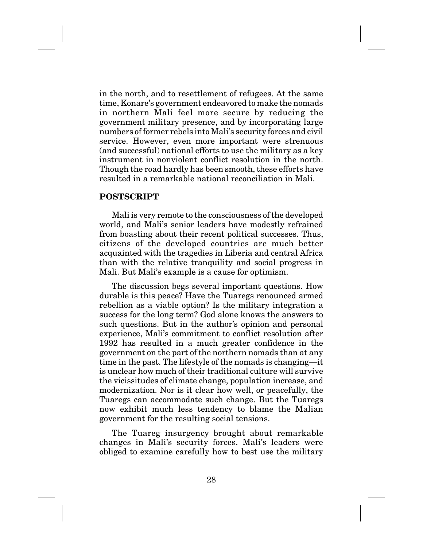in the north, and to resettlement of refugees. At the same time, Konare's government endeavored to make the nomads in northern Mali feel more secure by reducing the government military presence, and by incorporating large numbers of former rebels into Mali's security forces and civil service. However, even more important were strenuous (and successful) national efforts to use the military as a key instrument in nonviolent conflict resolution in the north. Though the road hardly has been smooth, these efforts have resulted in a remarkable national reconciliation in Mali.

### **POSTSCRIPT**

Mali is very remote to the consciousness of the developed world, and Mali's senior leaders have modestly refrained from boasting about their recent political successes. Thus, citizens of the developed countries are much better acquainted with the tragedies in Liberia and central Africa than with the relative tranquility and social progress in Mali. But Mali's example is a cause for optimism.

The discussion begs several important questions. How durable is this peace? Have the Tuaregs renounced armed rebellion as a viable option? Is the military integration a success for the long term? God alone knows the answers to such questions. But in the author's opinion and personal experience, Mali's commitment to conflict resolution after 1992 has resulted in a much greater confidence in the government on the part of the northern nomads than at any time in the past. The lifestyle of the nomads is changing—it is unclear how much of their traditional culture will survive the vicissitudes of climate change, population increase, and modernization. Nor is it clear how well, or peacefully, the Tuaregs can accommodate such change. But the Tuaregs now exhibit much less tendency to blame the Malian government for the resulting social tensions.

The Tuareg insurgency brought about remarkable changes in Mali's security forces. Mali's leaders were obliged to examine carefully how to best use the military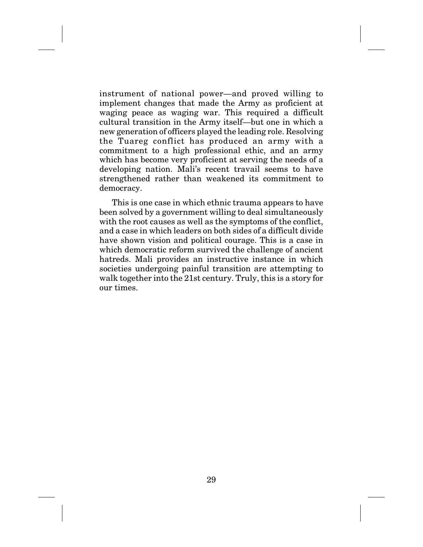instrument of national power—and proved willing to implement changes that made the Army as proficient at waging peace as waging war. This required a difficult cultural transition in the Army itself—but one in which a new generation of officers played the leading role. Resolving the Tuareg conflict has produced an army with a commitment to a high professional ethic, and an army which has become very proficient at serving the needs of a developing nation. Mali's recent travail seems to have strengthened rather than weakened its commitment to democracy.

This is one case in which ethnic trauma appears to have been solved by a government willing to deal simultaneously with the root causes as well as the symptoms of the conflict, and a case in which leaders on both sides of a difficult divide have shown vision and political courage. This is a case in which democratic reform survived the challenge of ancient hatreds. Mali provides an instructive instance in which societies undergoing painful transition are attempting to walk together into the 21st century. Truly, this is a story for our times.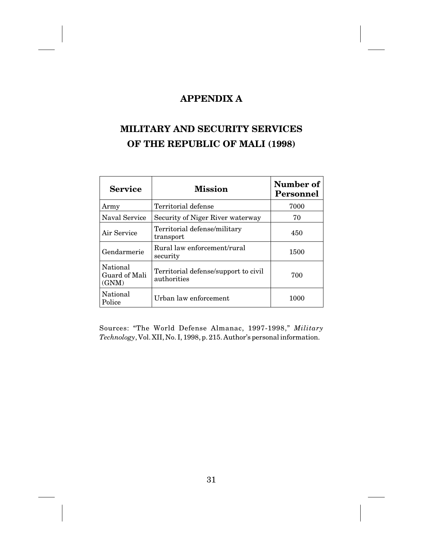# **APPENDIX A**

# **MILITARY AND SECURITY SERVICES OF THE REPUBLIC OF MALI (1998)**

| <b>Service</b>                     | <b>Mission</b>                                      | Number of<br>Personnel |  |
|------------------------------------|-----------------------------------------------------|------------------------|--|
| Army                               | Territorial defense                                 | 7000                   |  |
| Naval Service                      | Security of Niger River waterway                    | 70                     |  |
| Air Service                        | Territorial defense/military<br>transport           | 450                    |  |
| Gendarmerie                        | Rural law enforcement/rural<br>security             | 1500                   |  |
| National<br>Guard of Mali<br>(GNM) | Territorial defense/support to civil<br>authorities | 700                    |  |
| National<br>Police                 | Urban law enforcement                               | 1000                   |  |

Sources: "The World Defense Almanac, 1997-1998," *Military Technology*, Vol. XII, No. I, 1998, p. 215. Author's personal information.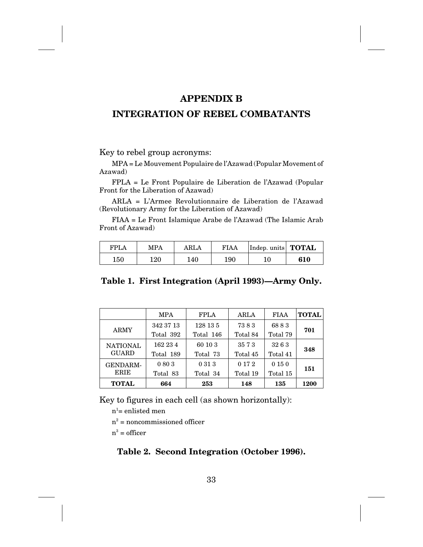### **APPENDIX B**

# **INTEGRATION OF REBEL COMBATANTS**

Key to rebel group acronyms:

MPA = Le Mouvement Populaire de l'Azawad (Popular Movement of Azawad)

FPLA = Le Front Populaire de Liberation de l'Azawad (Popular Front for the Liberation of Azawad)

ARLA = L'Armee Revolutionnaire de Liberation de l'Azawad (Revolutionary Army for the Liberation of Azawad)

FIAA = Le Front Islamique Arabe de l'Azawad (The Islamic Arab Front of Azawad)

| <b>FPLA</b> | MPA | ARLA | FIAA | Indep. units <b>TOTAL</b> |     |
|-------------|-----|------|------|---------------------------|-----|
| $150\,$     | 120 | 140  | 190  | 10                        | 610 |

### **Table 1. First Integration (April 1993)—Army Only.**

|                                 | <b>MPA</b>             | <b>FPLA</b>           | ARLA                | <b>FIAA</b>        | <b>TOTAL</b> |
|---------------------------------|------------------------|-----------------------|---------------------|--------------------|--------------|
| <b>ARMY</b>                     | 342 37 13<br>Total 392 | 128 13 5<br>Total 146 | 7383<br>Total 84    | 6883<br>Total 79   | 701          |
| <b>NATIONAL</b><br><b>GUARD</b> | 162 23 4<br>Total 189  | 60 10 3<br>Total 73   | 3573<br>Total 45    | 3263<br>Total 41   | 348          |
| <b>GENDARM-</b><br><b>ERIE</b>  | 0803<br>Total 83       | 0 31 3<br>Total 34    | 0 1 7 2<br>Total 19 | 0 15 0<br>Total 15 | 151          |
| <b>TOTAL</b>                    | 664                    | 253                   | 148                 | 135                | 1200         |

Key to figures in each cell (as shown horizontally):

 $n^{\scriptscriptstyle{1}}$ = enlisted men

 $n^2$  = noncommissioned officer

 $n^3$  = officer

### **Table 2. Second Integration (October 1996).**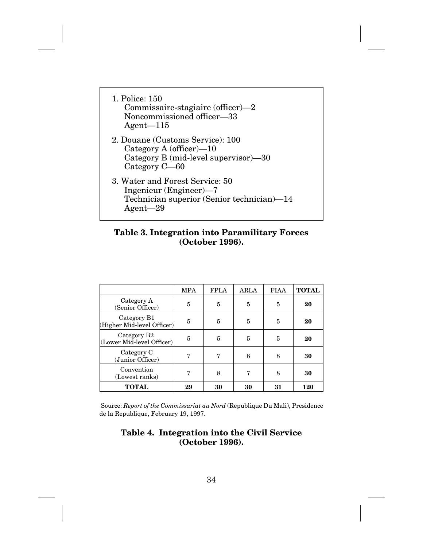| 1. Police: 150<br>Commissaire-stagiaire (officer)-2<br>Noncommissioned officer-33<br>Agent $-115$                       |
|-------------------------------------------------------------------------------------------------------------------------|
| 2. Douane (Customs Service): 100<br>Category A (officer) $-10$<br>Category B (mid-level supervisor)-30<br>Category C-60 |
| 3. Water and Forest Service: 50<br>Ingenieur (Engineer)—7<br>Technician superior (Senior technician)-14<br>Agent—29     |

### **Table 3. Integration into Paramilitary Forces (October 1996).**

|                                                      | <b>MPA</b> | <b>FPLA</b> | ARLA | <b>FIAA</b> | <b>TOTAL</b> |
|------------------------------------------------------|------------|-------------|------|-------------|--------------|
| Category A<br>(Senior Officer)                       | 5          | 5           | 5    | 5           | 20           |
| Category B1<br>(Higher Mid-level Officer)            | 5          | 5           | 5    | 5           | 20           |
| Category B <sub>2</sub><br>(Lower Mid-level Officer) | 5          | 5           | 5    | 5           | 20           |
| Category C<br>(Junior Officer)                       | 7          | 7           | 8    | 8           | 30           |
| Convention<br>(Lowest ranks)                         | 7          | 8           | 7    | 8           | 30           |
| <b>TOTAL</b>                                         | 29         | 30          | 30   | 31          | 120          |

Source: *Report of the Commissariat au Nord* (Republique Du Mali), Presidence de la Republique, February 19, 1997.

### **Table 4. Integration into the Civil Service (October 1996).**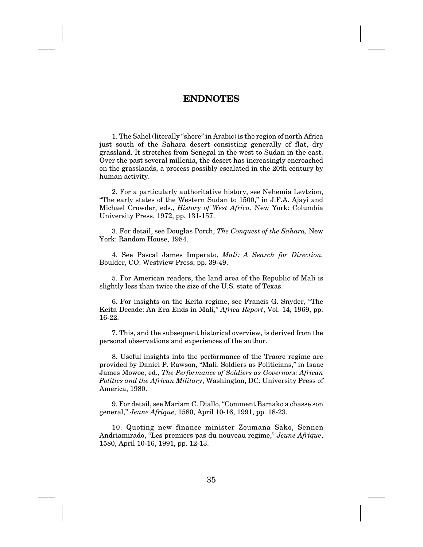### **ENDNOTES**

1. The Sahel (literally "shore" in Arabic) is the region of north Africa just south of the Sahara desert consisting generally of flat, dry grassland. It stretches from Senegal in the west to Sudan in the east. Over the past several millenia, the desert has increasingly encroached on the grasslands, a process possibly escalated in the 20th century by human activity.

2. For a particularly authoritative history, see Nehemia Levtzion, "The early states of the Western Sudan to 1500," in J.F.A. Ajayi and Michael Crowder, eds., *History of West Africa*, New York: Columbia University Press, 1972, pp. 131-157.

3. For detail, see Douglas Porch, *The Conquest of the Sahara,* New York: Random House, 1984.

4. See Pascal James Imperato, *Mali: A Search for Direction,* Boulder, CO: Westview Press, pp. 39-49.

5. For American readers, the land area of the Republic of Mali is slightly less than twice the size of the U.S. state of Texas.

6. For insights on the Keita regime, see Francis G. Snyder, "The Keita Decade: An Era Ends in Mali," *Africa Report*, Vol. 14, 1969, pp. 16-22.

7. This, and the subsequent historical overview, is derived from the personal observations and experiences of the author.

8. Useful insights into the performance of the Traore regime are provided by Daniel P. Rawson, "Mali: Soldiers as Politicians," in Isaac James Mowoe, ed., *The Performance of Soldiers as Governors: African Politics and the African Military*, Washington, DC: University Press of America, 1980.

9. For detail, see Mariam C. Diallo, "Comment Bamako a chasse son general," *Jeune Afrique*, 1580, April 10-16, 1991, pp. 18-23.

10. Quoting new finance minister Zoumana Sako, Sennen Andriamirado, "Les premiers pas du nouveau regime," *Jeune Afrique*, 1580, April 10-16, 1991, pp. 12-13.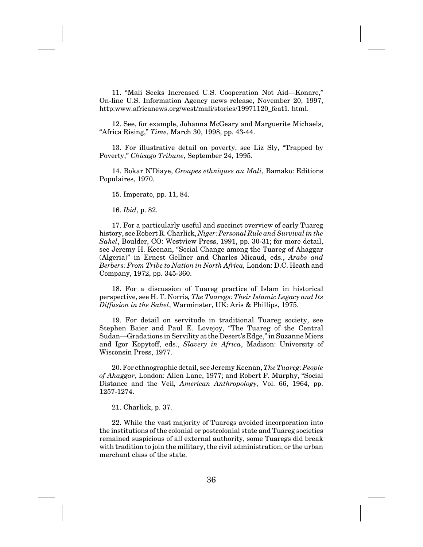11. "Mali Seeks Increased U.S. Cooperation Not Aid—Konare," On-line U.S. Information Agency news release, November 20, 1997, http:www.africanews.org/west/mali/stories/19971120 feat1. html.

12. See, for example, Johanna McGeary and Marguerite Michaels, "Africa Rising," *Time*, March 30, 1998, pp. 43-44.

13. For illustrative detail on poverty, see Liz Sly, "Trapped by Poverty," *Chicago Tribune*, September 24, 1995.

14. Bokar N'Diaye, *Groupes ethniques au Mali*, Bamako: Editions Populaires, 1970.

15. Imperato, pp. 11, 84.

16. *Ibid*, p. 82.

17. For a particularly useful and succinct overview of early Tuareg history, see Robert R. Charlick, *Niger: Personal Rule and Survival in the Sahel*, Boulder, CO: Westview Press, 1991, pp. 30-31; for more detail, see Jeremy H. Keenan, "Social Change among the Tuareg of Ahaggar (Algeria)" in Ernest Gellner and Charles Micaud, eds., *Arabs and Berbers: From Tribe to Nation in North Africa,* London: D.C. Heath and Company, 1972, pp. 345-360.

18. For a discussion of Tuareg practice of Islam in historical perspective, see H. T. Norris*, The Tuaregs: Their Islamic Legacy and Its Diffusion in the Sahel*, Warminster, UK: Aris & Phillips, 1975.

19. For detail on servitude in traditional Tuareg society, see Stephen Baier and Paul E. Lovejoy, "The Tuareg of the Central Sudan—Gradations in Servility at the Desert's Edge," in Suzanne Miers and Igor Kopytoff, eds., *Slavery in Africa*, Madison: University of Wisconsin Press, 1977.

20. For ethnographic detail, see Jeremy Keenan, *The Tuareg: People of Ahaggar*, London: Allen Lane, 1977; and Robert F. Murphy, "Social Distance and the Veil*, American Anthropology*, Vol. 66, 1964, pp. 1257-1274.

21. Charlick, p. 37.

22. While the vast majority of Tuaregs avoided incorporation into the institutions of the colonial or postcolonial state and Tuareg societies remained suspicious of all external authority, some Tuaregs did break with tradition to join the military, the civil administration, or the urban merchant class of the state.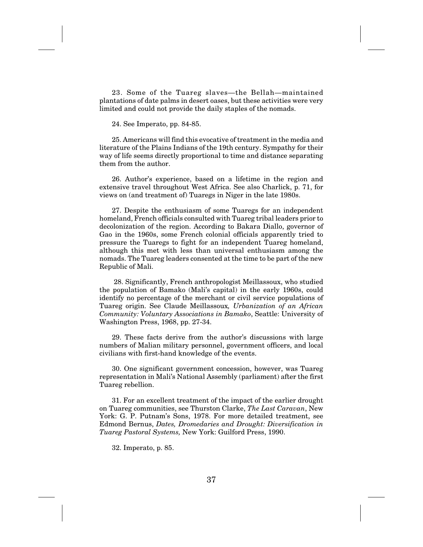23. Some of the Tuareg slaves—the Bellah—maintained plantations of date palms in desert oases, but these activities were very limited and could not provide the daily staples of the nomads.

24. See Imperato, pp. 84-85.

25. Americans will find this evocative of treatment in the media and literature of the Plains Indians of the 19th century. Sympathy for their way of life seems directly proportional to time and distance separating them from the author.

26. Author's experience, based on a lifetime in the region and extensive travel throughout West Africa. See also Charlick, p. 71, for views on (and treatment of) Tuaregs in Niger in the late 1980s.

27. Despite the enthusiasm of some Tuaregs for an independent homeland, French officials consulted with Tuareg tribal leaders prior to decolonization of the region. According to Bakara Diallo, governor of Gao in the 1960s, some French colonial officials apparently tried to pressure the Tuaregs to fight for an independent Tuareg homeland, although this met with less than universal enthusiasm among the nomads. The Tuareg leaders consented at the time to be part of the new Republic of Mali.

28. Significantly, French anthropologist Meillassoux, who studied the population of Bamako (Mali's capital) in the early 1960s, could identify no percentage of the merchant or civil service populations of Tuareg origin. See Claude Meillassoux*, Urbanization of an African Community: Voluntary Associations in Bamako*, Seattle: University of Washington Press, 1968, pp. 27-34.

29. These facts derive from the author's discussions with large numbers of Malian military personnel, government officers, and local civilians with first-hand knowledge of the events.

30. One significant government concession, however, was Tuareg representation in Mali's National Assembly (parliament) after the first Tuareg rebellion.

31. For an excellent treatment of the impact of the earlier drought on Tuareg communities, see Thurston Clarke, *The Last Caravan*, New York: G. P. Putnam's Sons, 1978. For more detailed treatment, see Edmond Bernus, *Dates, Dromedaries and Drought: Diversification in Tuareg Pastoral Systems,* New York: Guilford Press, 1990.

32. Imperato, p. 85.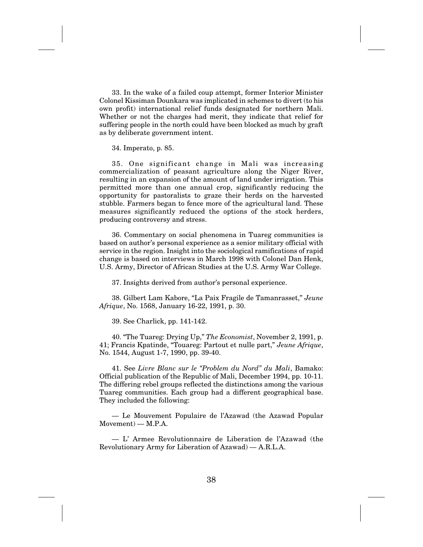33. In the wake of a failed coup attempt, former Interior Minister Colonel Kissiman Dounkara was implicated in schemes to divert (to his own profit) international relief funds designated for northern Mali. Whether or not the charges had merit, they indicate that relief for suffering people in the north could have been blocked as much by graft as by deliberate government intent.

34. Imperato, p. 85.

35. One significant change in Mali was increasing commercialization of peasant agriculture along the Niger River, resulting in an expansion of the amount of land under irrigation. This permitted more than one annual crop, significantly reducing the opportunity for pastoralists to graze their herds on the harvested stubble. Farmers began to fence more of the agricultural land. These measures significantly reduced the options of the stock herders, producing controversy and stress.

36. Commentary on social phenomena in Tuareg communities is based on author's personal experience as a senior military official with service in the region. Insight into the sociological ramifications of rapid change is based on interviews in March 1998 with Colonel Dan Henk, U.S. Army, Director of African Studies at the U.S. Army War College.

37. Insights derived from author's personal experience.

38. Gilbert Lam Kabore, "La Paix Fragile de Tamanrasset," *Jeune Afrique*, No. 1568, January 16-22, 1991, p. 30.

39. See Charlick, pp. 141-142.

40. "The Tuareg: Drying Up," *The Economist*, November 2, 1991, p. 41; Francis Kpatinde, "Touareg: Partout et nulle part," *Jeune Afrique*, No. 1544, August 1-7, 1990, pp. 39-40.

41. See *Livre Blanc sur le "Problem du Nord" du Mali*, Bamako: Official publication of the Republic of Mali, December 1994, pp. 10-11. The differing rebel groups reflected the distinctions among the various Tuareg communities. Each group had a different geographical base. They included the following:

— Le Mouvement Populaire de l'Azawad (the Azawad Popular Movement) — M.P.A.

— L' Armee Revolutionnaire de Liberation de l'Azawad (the Revolutionary Army for Liberation of Azawad) — A.R.L.A.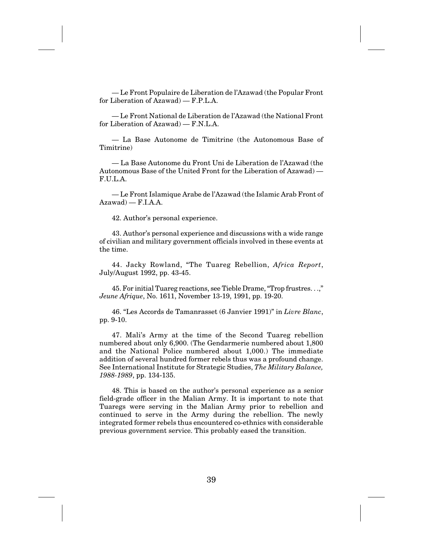— Le Front Populaire de Liberation de l'Azawad (the Popular Front for Liberation of Azawad) — F.P.L.A.

— Le Front National de Liberation de l'Azawad (the National Front for Liberation of Azawad) — F.N.L.A.

— La Base Autonome de Timitrine (the Autonomous Base of Timitrine)

— La Base Autonome du Front Uni de Liberation de l'Azawad (the Autonomous Base of the United Front for the Liberation of Azawad) — F.U.L.A.

— Le Front Islamique Arabe de l'Azawad (the Islamic Arab Front of  $Azawad$  –  $F.I.A.A$ .

42. Author's personal experience.

43. Author's personal experience and discussions with a wide range of civilian and military government officials involved in these events at the time.

44. Jacky Rowland, "The Tuareg Rebellion, *Africa Report*, July/August 1992, pp. 43-45.

45. For initial Tuareg reactions, see Tieble Drame, "Trop frustres. . .," *Jeune Afrique*, No. 1611, November 13-19, 1991, pp. 19-20.

46. "Les Accords de Tamanrasset (6 Janvier 1991)" in *Livre Blanc*, pp. 9-10.

47. Mali's Army at the time of the Second Tuareg rebellion numbered about only 6,900. (The Gendarmerie numbered about 1,800 and the National Police numbered about 1,000.) The immediate addition of several hundred former rebels thus was a profound change. See International Institute for Strategic Studies, *The Military Balance, 1988-1989*, pp. 134-135.

48. This is based on the author's personal experience as a senior field-grade officer in the Malian Army. It is important to note that Tuaregs were serving in the Malian Army prior to rebellion and continued to serve in the Army during the rebellion. The newly integrated former rebels thus encountered co-ethnics with considerable previous government service. This probably eased the transition.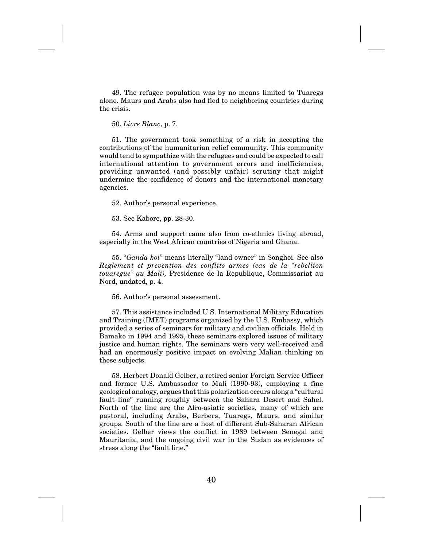49. The refugee population was by no means limited to Tuaregs alone. Maurs and Arabs also had fled to neighboring countries during the crisis.

50. *Livre Blanc*, p. 7.

51. The government took something of a risk in accepting the contributions of the humanitarian relief community. This community would tend to sympathize with the refugees and could be expected to call international attention to government errors and inefficiencies, providing unwanted (and possibly unfair) scrutiny that might undermine the confidence of donors and the international monetary agencies.

52. Author's personal experience.

53. See Kabore, pp. 28-30.

54. Arms and support came also from co-ethnics living abroad, especially in the West African countries of Nigeria and Ghana.

55. "*Ganda koi*" means literally "land owner" in Songhoi. See also *Reglement et prevention des conflits armes (cas de la "rebellion touaregue" au Mali),* Presidence de la Republique, Commissariat au Nord, undated, p. 4.

56. Author's personal assessment.

57. This assistance included U.S. International Military Education and Training (IMET) programs organized by the U.S. Embassy, which provided a series of seminars for military and civilian officials. Held in Bamako in 1994 and 1995, these seminars explored issues of military justice and human rights. The seminars were very well-received and had an enormously positive impact on evolving Malian thinking on these subjects.

58. Herbert Donald Gelber, a retired senior Foreign Service Officer and former U.S. Ambassador to Mali (1990-93), employing a fine geological analogy, argues that this polarization occurs along a "cultural fault line" running roughly between the Sahara Desert and Sahel. North of the line are the Afro-asiatic societies, many of which are pastoral, including Arabs, Berbers, Tuaregs, Maurs, and similar groups. South of the line are a host of different Sub-Saharan African societies. Gelber views the conflict in 1989 between Senegal and Mauritania, and the ongoing civil war in the Sudan as evidences of stress along the "fault line."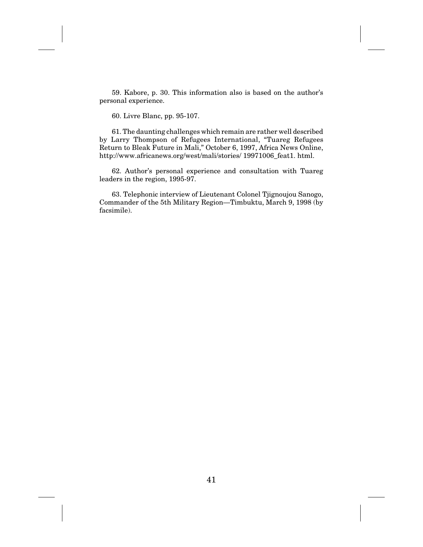59. Kabore, p. 30. This information also is based on the author's personal experience.

60. Livre Blanc, pp. 95-107.

61. The daunting challenges which remain are rather well described by Larry Thompson of Refugees International, "Tuareg Refugees Return to Bleak Future in Mali," October 6, 1997, Africa News Online, http://www.africanews.org/west/mali/stories/ 19971006\_feat1. html.

62. Author's personal experience and consultation with Tuareg leaders in the region, 1995-97.

63. Telephonic interview of Lieutenant Colonel Tjignoujou Sanogo, Commander of the 5th Military Region—Timbuktu, March 9, 1998 (by facsimile).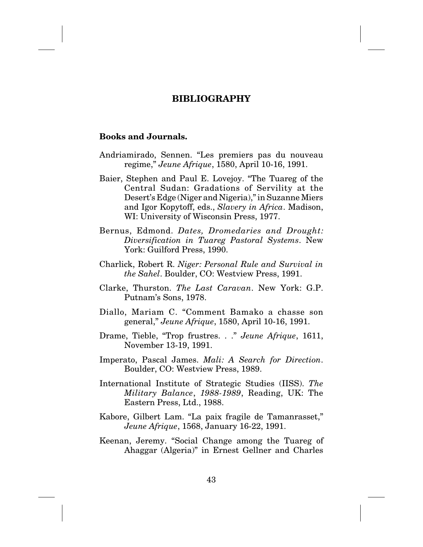# **BIBLIOGRAPHY**

#### **Books and Journals.**

- Andriamirado, Sennen. "Les premiers pas du nouveau regime," *Jeune Afrique*, 1580, April 10-16, 1991.
- Baier, Stephen and Paul E. Lovejoy. "The Tuareg of the Central Sudan: Gradations of Servility at the Desert's Edge (Niger and Nigeria)," in Suzanne Miers and Igor Kopytoff, eds., *Slavery in Africa*. Madison, WI: University of Wisconsin Press, 1977.
- Bernus, Edmond. *Dates, Dromedaries and Drought: Diversification in Tuareg Pastoral Systems*. New York: Guilford Press, 1990.
- Charlick, Robert R. *Niger: Personal Rule and Survival in the Sahel*. Boulder, CO: Westview Press, 1991.
- Clarke, Thurston. *The Last Caravan*. New York: G.P. Putnam's Sons, 1978.
- Diallo, Mariam C. "Comment Bamako a chasse son general," *Jeune Afrique*, 1580, April 10-16, 1991.
- Drame, Tieble, "Trop frustres. . ." *Jeune Afrique*, 1611, November 13-19, 1991.
- Imperato, Pascal James. *Mali: A Search for Direction*. Boulder, CO: Westview Press, 1989.
- International Institute of Strategic Studies (IISS). *The Military Balance*, *1988-1989*, Reading, UK: The Eastern Press, Ltd., 1988.
- Kabore, Gilbert Lam. "La paix fragile de Tamanrasset," *Jeune Afrique*, 1568, January 16-22, 1991.
- Keenan, Jeremy. "Social Change among the Tuareg of Ahaggar (Algeria)" in Ernest Gellner and Charles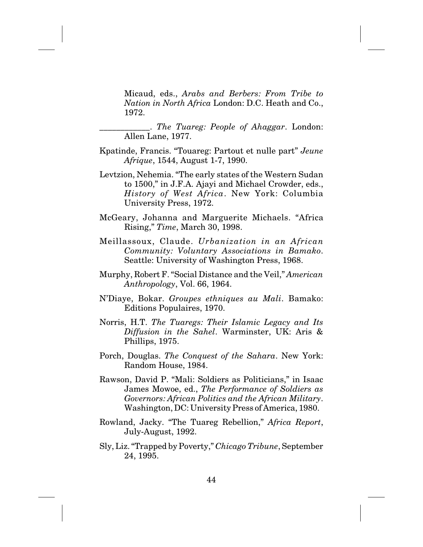Micaud, eds., *Arabs and Berbers: From Tribe to Nation in North Africa* London: D.C. Heath and Co., 1972.

\_\_\_\_\_\_\_\_\_\_\_\_. *The Tuareg: People of Ahaggar*. London: Allen Lane, 1977.

- Kpatinde, Francis. "Touareg: Partout et nulle part" *Jeune Afrique*, 1544, August 1-7, 1990.
- Levtzion, Nehemia. "The early states of the Western Sudan to 1500," in J.F.A. Ajayi and Michael Crowder, eds., *History of West Africa*. New York: Columbia University Press, 1972.
- McGeary, Johanna and Marguerite Michaels. "Africa Rising," *Time*, March 30, 1998.
- Meillassoux, Claude. *Urbanization in an African Community: Voluntary Associations in Bamako*. Seattle: University of Washington Press, 1968.
- Murphy, Robert F. "Social Distance and the Veil," *American Anthropology*, Vol. 66, 1964.
- N'Diaye, Bokar. *Groupes ethniques au Mali*. Bamako: Editions Populaires, 1970.
- Norris, H.T. *The Tuaregs: Their Islamic Legacy and Its Diffusion in the Sahel*. Warminster, UK: Aris & Phillips, 1975.
- Porch, Douglas. *The Conquest of the Sahara*. New York: Random House, 1984.
- Rawson, David P. "Mali: Soldiers as Politicians," in Isaac James Mowoe, ed., *The Performance of Soldiers as Governors: African Politics and the African Military*. Washington, DC: University Press of America, 1980.
- Rowland, Jacky. "The Tuareg Rebellion," *Africa Report*, July-August, 1992.
- Sly, Liz. "Trapped by Poverty," *Chicago Tribune*, September 24, 1995.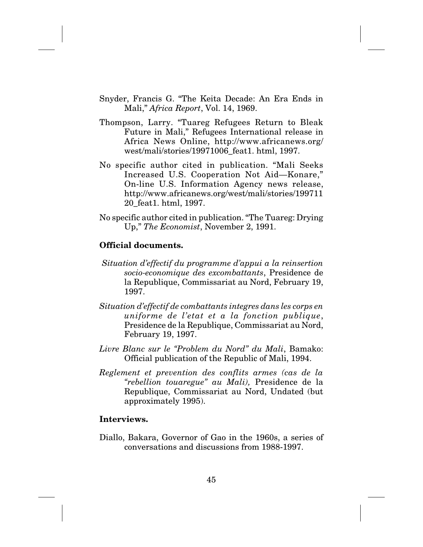- Snyder, Francis G. "The Keita Decade: An Era Ends in Mali," *Africa Report*, Vol. 14, 1969.
- Thompson, Larry. "Tuareg Refugees Return to Bleak Future in Mali," Refugees International release in Africa News Online, http://www.africanews.org/ west/mali/stories/19971006\_feat1. html, 1997.
- No specific author cited in publication. "Mali Seeks Increased U.S. Cooperation Not Aid—Konare," On-line U.S. Information Agency news release, http://www.africanews.org/west/mali/stories/199711 20\_feat1. html, 1997.
- No specific author cited in publication. "The Tuareg: Drying Up," *The Economist*, November 2, 1991.

# **Official documents.**

- *Situation d'effectif du programme d'appui a la reinsertion socio-economique des excombattants*, Presidence de la Republique, Commissariat au Nord, February 19, 1997.
- *Situation d'effectif de combattants integres dans les corps en uniforme de l'etat et a la fonction publique*, Presidence de la Republique, Commissariat au Nord, February 19, 1997.
- *Livre Blanc sur le "Problem du Nord" du Mali*, Bamako: Official publication of the Republic of Mali, 1994.
- *Reglement et prevention des conflits armes (cas de la "rebellion touaregue" au Mali),* Presidence de la Republique, Commissariat au Nord, Undated (but approximately 1995).

### **Interviews.**

Diallo, Bakara, Governor of Gao in the 1960s, a series of conversations and discussions from 1988-1997.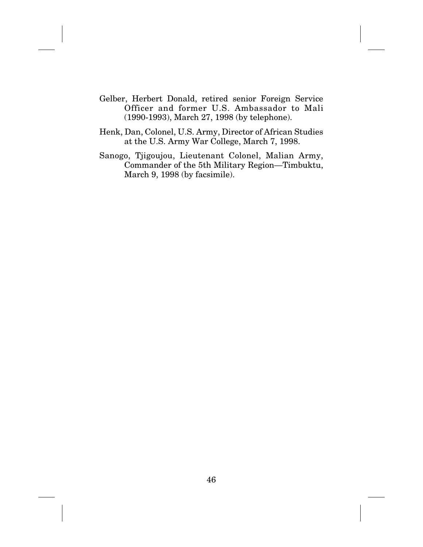- Gelber, Herbert Donald, retired senior Foreign Service Officer and former U.S. Ambassador to Mali (1990-1993), March 27, 1998 (by telephone).
- Henk, Dan, Colonel, U.S. Army, Director of African Studies at the U.S. Army War College, March 7, 1998.
- Sanogo, Tjigoujou, Lieutenant Colonel, Malian Army, Commander of the 5th Military Region—Timbuktu, March 9, 1998 (by facsimile).